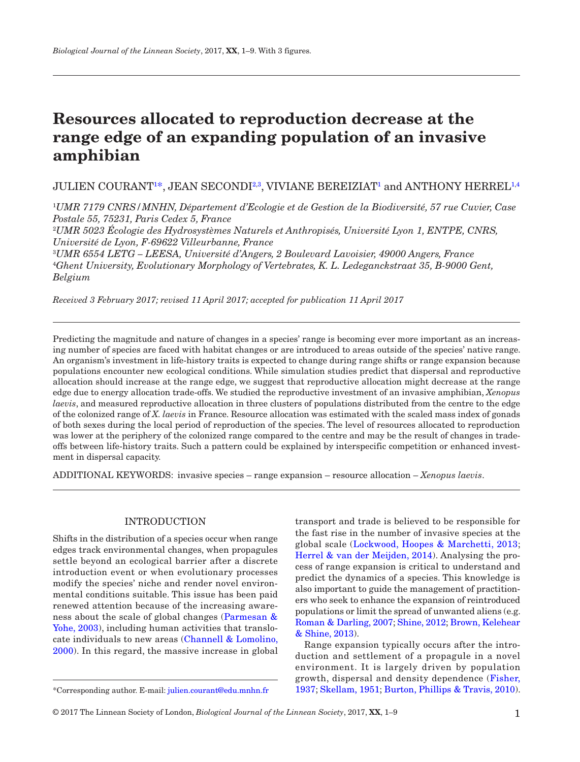# **Resources allocated to reproduction decrease at the range edge of an expanding population of an invasive amphibian**

# ${\rm JULIEN}$  COURANT $^{1*}$  $^{1*}$  $^{1*}$ , JEAN SECONDI $^{2,3}$  $^{2,3}$  $^{2,3}$ , VIVIANE BEREIZIAT $^1$  and ANTHONY HERREL $^{1,4}$  $^{1,4}$  $^{1,4}$

<span id="page-0-0"></span>1 *UMR 7179 CNRS/MNHN, Département d'Ecologie et de Gestion de la Biodiversité, 57 rue Cuvier, Case Postale 55, 75231, Paris Cedex 5, France*

<span id="page-0-1"></span>2 *UMR 5023 Écologie des Hydrosystèmes Naturels et Anthropisés, Université Lyon 1, ENTPE, CNRS, Université de Lyon, F-69622 Villeurbanne, France*

<span id="page-0-3"></span><span id="page-0-2"></span>3 *UMR 6554 LETG – LEESA, Université d'Angers, 2 Boulevard Lavoisier, 49000 Angers, France* 4 *Ghent University, Evolutionary Morphology of Vertebrates, K. L. Ledeganckstraat 35, B-9000 Gent, Belgium*

*Received 3 February 2017; revised 11 April 2017; accepted for publication 11 April 2017*

Predicting the magnitude and nature of changes in a species' range is becoming ever more important as an increasing number of species are faced with habitat changes or are introduced to areas outside of the species' native range. An organism's investment in life-history traits is expected to change during range shifts or range expansion because populations encounter new ecological conditions. While simulation studies predict that dispersal and reproductive allocation should increase at the range edge, we suggest that reproductive allocation might decrease at the range edge due to energy allocation trade-offs. We studied the reproductive investment of an invasive amphibian, *Xenopus laevis*, and measured reproductive allocation in three clusters of populations distributed from the centre to the edge of the colonized range of *X. laevis* in France. Resource allocation was estimated with the scaled mass index of gonads of both sexes during the local period of reproduction of the species. The level of resources allocated to reproduction was lower at the periphery of the colonized range compared to the centre and may be the result of changes in tradeoffs between life-history traits. Such a pattern could be explained by interspecific competition or enhanced investment in dispersal capacity.

ADDITIONAL KEYWORDS: invasive species – range expansion – resource allocation – *Xenopus laevis*.

# INTRODUCTION

Shifts in the distribution of a species occur when range edges track environmental changes, when propagules settle beyond an ecological barrier after a discrete introduction event or when evolutionary processes modify the species' niche and render novel environmental conditions suitable. This issue has been paid renewed attention because of the increasing awareness about the scale of global changes [\(Parmesan &](#page-8-0) [Yohe, 2003](#page-8-0)), including human activities that translocate individuals to new areas ([Channell & Lomolino,](#page-7-0) [2000](#page-7-0)). In this regard, the massive increase in global

transport and trade is believed to be responsible for the fast rise in the number of invasive species at the global scale ([Lockwood, Hoopes & Marchetti, 2013;](#page-8-1) [Herrel & van der Meijden, 2014](#page-7-1)). Analysing the process of range expansion is critical to understand and predict the dynamics of a species. This knowledge is also important to guide the management of practitioners who seek to enhance the expansion of reintroduced populations or limit the spread of unwanted aliens (e.g. [Roman & Darling, 2007;](#page-8-2) [Shine, 2012;](#page-8-3) [Brown, Kelehear](#page-7-2) [& Shine, 2013](#page-7-2)).

Range expansion typically occurs after the introduction and settlement of a propagule in a novel environment. It is largely driven by population growth, dispersal and density dependence ([Fisher,](#page-7-3) \*Corresponding author. E-mail: [julien.courant@edu.mnhn.fr](mailto:julien.courant@edu.mnhn.fr?subject=) [1937](#page-7-3); [Skellam, 1951;](#page-8-4) [Burton, Phillips & Travis, 2010\)](#page-7-4).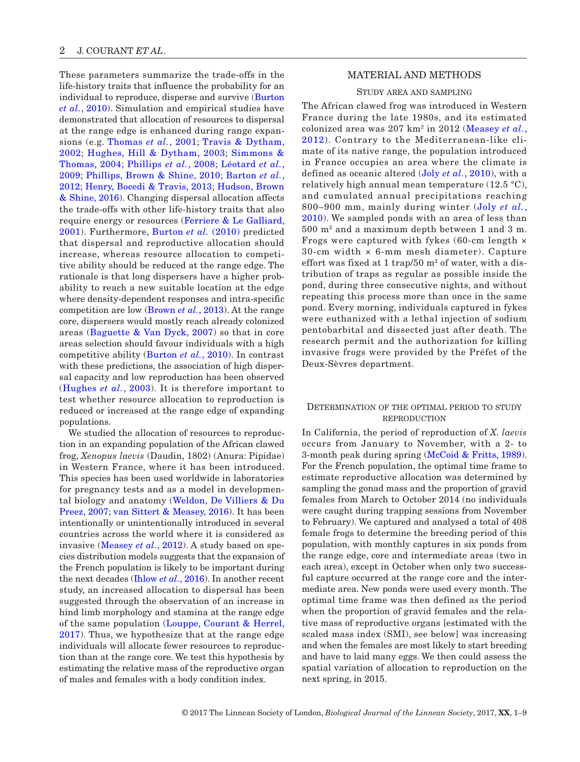These parameters summarize the trade-offs in the life-history traits that influence the probability for an individual to reproduce, disperse and survive [\(Burton](#page-7-4) *et al.*[, 2010](#page-7-4)). Simulation and empirical studies have demonstrated that allocation of resources to dispersal at the range edge is enhanced during range expansions (e.g. [Thomas](#page-8-5) *et al.*, 2001; [Travis & Dytham,](#page-8-6)  [2002](#page-8-6); [Hughes, Hill & Dytham, 2003](#page-7-5); [Simmons &](#page-8-7)  [Thomas, 2004;](#page-8-7) [Phillips](#page-8-8) *et al.*, 2008; [Léotard](#page-8-9) *et al.*, [2009;](#page-8-9) [Phillips, Brown & Shine, 2010](#page-8-10); [Barton](#page-7-6) *et al.*, [2012](#page-7-6); [Henry, Bocedi & Travis, 2013;](#page-7-7) [Hudson, Brown](#page-7-8)  [& Shine, 2016](#page-7-8)). Changing dispersal allocation affects the trade-offs with other life-history traits that also require energy or resources [\(Ferriere & Le Galliard,](#page-7-9) [2001\)](#page-7-9). Furthermore, [Burton](#page-7-4) *et al.* (2010) predicted that dispersal and reproductive allocation should increase, whereas resource allocation to competitive ability should be reduced at the range edge. The rationale is that long dispersers have a higher probability to reach a new suitable location at the edge where density-dependent responses and intra-specific competition are low ([Brown](#page-7-2) *et al.*, 2013). At the range core, dispersers would mostly reach already colonized areas [\(Baguette & Van Dyck, 2007](#page-7-10)) so that in core areas selection should favour individuals with a high competitive ability ([Burton](#page-7-4) *et al.*, 2010). In contrast with these predictions, the association of high dispersal capacity and low reproduction has been observed [\(Hughes](#page-7-5) *et al.*, 2003). It is therefore important to test whether resource allocation to reproduction is reduced or increased at the range edge of expanding populations.

We studied the allocation of resources to reproduction in an expanding population of the African clawed frog, *Xenopus laevis* (Daudin, 1802) (Anura: Pipidae) in Western France, where it has been introduced. This species has been used worldwide in laboratories for pregnancy tests and as a model in developmental biology and anatomy [\(Weldon, De Villiers & Du](#page-8-11) [Preez, 2007](#page-8-11); [van Sittert & Measey, 2016](#page-8-12)). It has been intentionally or unintentionally introduced in several countries across the world where it is considered as invasive ([Measey](#page-8-13) *et al.*, 2012). A study based on species distribution models suggests that the expansion of the French population is likely to be important during the next decades [\(Ihlow](#page-8-14) *et al.*, 2016). In another recent study, an increased allocation to dispersal has been suggested through the observation of an increase in hind limb morphology and stamina at the range edge of the same population ([Louppe, Courant & Herrel,](#page-8-15) [2017](#page-8-15)). Thus, we hypothesize that at the range edge individuals will allocate fewer resources to reproduction than at the range core. We test this hypothesis by estimating the relative mass of the reproductive organ of males and females with a body condition index.

# MATERIAL AND METHODS

### Study area and sampling

The African clawed frog was introduced in Western France during the late 1980s, and its estimated colonized area was 207 km2 in 2012 ([Measey](#page-8-13) *et al.*, [2012](#page-8-13)). Contrary to the Mediterranean-like climate of its native range, the population introduced in France occupies an area where the climate is defined as oceanic altered (Joly *et al.*[, 2010\)](#page-8-16), with a relatively high annual mean temperature (12.5 °C), and cumulated annual precipitations reaching 800–900 mm, mainly during winter ([Joly](#page-8-16) *et al.*, [2010\)](#page-8-16). We sampled ponds with an area of less than 500 m2 and a maximum depth between 1 and 3 m. Frogs were captured with fykes (60-cm length × 30-cm width × 6-mm mesh diameter). Capture effort was fixed at 1 trap/50  $m<sup>2</sup>$  of water, with a distribution of traps as regular as possible inside the pond, during three consecutive nights, and without repeating this process more than once in the same pond. Every morning, individuals captured in fykes were euthanized with a lethal injection of sodium pentobarbital and dissected just after death. The research permit and the authorization for killing invasive frogs were provided by the Préfet of the Deux-Sèvres department.

# Determination of the optimal period to study **REPRODUCTION**

In California, the period of reproduction of *X. laevis* occurs from January to November, with a 2- to 3-month peak during spring ([McCoid & Fritts, 1989\)](#page-8-17). For the French population, the optimal time frame to estimate reproductive allocation was determined by sampling the gonad mass and the proportion of gravid females from March to October 2014 (no individuals were caught during trapping sessions from November to February). We captured and analysed a total of 408 female frogs to determine the breeding period of this population, with monthly captures in six ponds from the range edge, core and intermediate areas (two in each area), except in October when only two successful capture occurred at the range core and the intermediate area. New ponds were used every month. The optimal time frame was then defined as the period when the proportion of gravid females and the relative mass of reproductive organs [estimated with the scaled mass index (SMI), see below] was increasing and when the females are most likely to start breeding and have to laid many eggs. We then could assess the spatial variation of allocation to reproduction on the next spring, in 2015.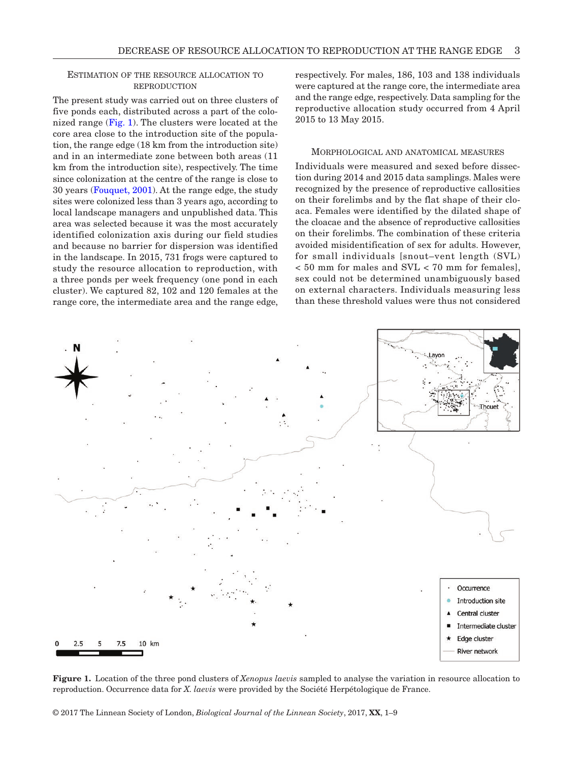# Estimation of the resource allocation to **REPRODUCTION**

The present study was carried out on three clusters of five ponds each, distributed across a part of the colonized range ([Fig.](#page-2-0) 1). The clusters were located at the core area close to the introduction site of the population, the range edge (18 km from the introduction site) and in an intermediate zone between both areas (11 km from the introduction site), respectively. The time since colonization at the centre of the range is close to 30 years [\(Fouquet, 2001](#page-7-11)). At the range edge, the study sites were colonized less than 3 years ago, according to local landscape managers and unpublished data. This area was selected because it was the most accurately identified colonization axis during our field studies and because no barrier for dispersion was identified in the landscape. In 2015, 731 frogs were captured to study the resource allocation to reproduction, with a three ponds per week frequency (one pond in each cluster). We captured 82, 102 and 120 females at the range core, the intermediate area and the range edge,

respectively. For males, 186, 103 and 138 individuals were captured at the range core, the intermediate area and the range edge, respectively. Data sampling for the reproductive allocation study occurred from 4 April 2015 to 13 May 2015.

## Morphological and anatomical measures

Individuals were measured and sexed before dissection during 2014 and 2015 data samplings. Males were recognized by the presence of reproductive callosities on their forelimbs and by the flat shape of their cloaca. Females were identified by the dilated shape of the cloacae and the absence of reproductive callosities on their forelimbs. The combination of these criteria avoided misidentification of sex for adults. However, for small individuals [snout–vent length (SVL) < 50 mm for males and SVL < 70 mm for females], sex could not be determined unambiguously based on external characters. Individuals measuring less than these threshold values were thus not considered



<span id="page-2-0"></span>**Figure 1.** Location of the three pond clusters of *Xenopus laevis* sampled to analyse the variation in resource allocation to reproduction. Occurrence data for *X. laevis* were provided by the Société Herpétologique de France.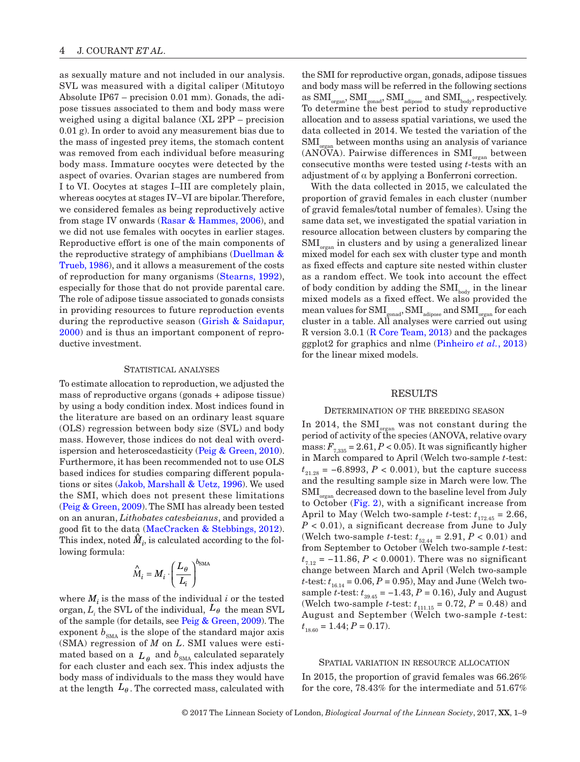as sexually mature and not included in our analysis. SVL was measured with a digital caliper (Mitutoyo Absolute IP67 – precision 0.01 mm). Gonads, the adipose tissues associated to them and body mass were weighed using a digital balance (XL 2PP – precision 0.01 g). In order to avoid any measurement bias due to the mass of ingested prey items, the stomach content was removed from each individual before measuring body mass. Immature oocytes were detected by the aspect of ovaries. Ovarian stages are numbered from I to VI. Oocytes at stages I–III are completely plain, whereas oocytes at stages IV–VI are bipolar. Therefore, we considered females as being reproductively active from stage IV onwards [\(Rasar & Hammes, 2006\)](#page-8-18), and we did not use females with oocytes in earlier stages. Reproductive effort is one of the main components of the reproductive strategy of amphibians [\(Duellman &](#page-7-12)  [Trueb, 1986\)](#page-7-12), and it allows a measurement of the costs of reproduction for many organisms ([Stearns, 1992\)](#page-8-19), especially for those that do not provide parental care. The role of adipose tissue associated to gonads consists in providing resources to future reproduction events during the reproductive season [\(Girish & Saidapur,](#page-7-13)  [2000](#page-7-13)) and is thus an important component of reproductive investment.

#### STATISTICAL ANALYSES

To estimate allocation to reproduction, we adjusted the mass of reproductive organs (gonads + adipose tissue) by using a body condition index. Most indices found in the literature are based on an ordinary least square (OLS) regression between body size (SVL) and body mass. However, those indices do not deal with overdispersion and heteroscedasticity ([Peig & Green, 2010\)](#page-8-20). Furthermore, it has been recommended not to use OLS based indices for studies comparing different populations or sites [\(Jakob, Marshall & Uetz, 1996\)](#page-8-21). We used the SMI, which does not present these limitations [\(Peig & Green, 2009\)](#page-8-22). The SMI has already been tested on an anuran, *Lithobates catesbeianus*, and provided a good fit to the data ([MacCracken & Stebbings, 2012\)](#page-8-23). This index, noted  $\hat{M}$ , is calculated according to the following formula:

$$
\hat{\vec{M}}_i = \boldsymbol{M}_i \cdot \left(\frac{\boldsymbol{L}_{\theta}}{\boldsymbol{L}_i}\right)^{\!b_{\textrm{SMA}}}
$$

where  $M_i$  is the mass of the individual  $i$  or the tested organ,  $L_i$  the SVL of the individual,  $L_{\theta}$  the mean SVL of the sample (for details, see [Peig & Green, 2009](#page-8-22)). The exponent  $b_{\text{SMA}}$  is the slope of the standard major axis (SMA) regression of *M* on *L*. SMI values were estimated based on a  $L_{\theta}$  and  $b_{\text{SMA}}$  calculated separately for each cluster and each sex. This index adjusts the body mass of individuals to the mass they would have at the length  $L_{\theta}$ . The corrected mass, calculated with

the SMI for reproductive organ, gonads, adipose tissues and body mass will be referred in the following sections as  $SMI_{\text{organ}}$ ,  $SMI_{\text{gonad}}$ ,  $SMI_{\text{adipose}}$  and  $SMI_{\text{body}}$ , respectively. To determine the best period to study reproductive allocation and to assess spatial variations, we used the data collected in 2014. We tested the variation of the  $\text{SMI}_{\text{area}}$  between months using an analysis of variance  $(ANOVA)$ . Pairwise differences in  $SMI_{organ}$  between consecutive months were tested using *t*-tests with an adjustment of  $\alpha$  by applying a Bonferroni correction.

With the data collected in 2015, we calculated the proportion of gravid females in each cluster (number of gravid females/total number of females). Using the same data set, we investigated the spatial variation in resource allocation between clusters by comparing the  $\text{SMI}_{\text{organ}}$  in clusters and by using a generalized linear mixed model for each sex with cluster type and month as fixed effects and capture site nested within cluster as a random effect. We took into account the effect of body condition by adding the  $\text{SMI}_{\text{body}}$  in the linear mixed models as a fixed effect. We also provided the mean values for SMI<sub>gonad</sub>, SMI<sub>adipose</sub> and SMI<sub>organ</sub> for each cluster in a table. All analyses were carried out using R version 3.0.1 ([R Core Team, 2013\)](#page-8-24) and the packages ggplot2 for graphics and nlme ([Pinheiro](#page-8-25) *et al.*, 2013) for the linear mixed models.

#### RESULTS

#### Determination of the breeding season

In 2014, the SMI $_{\text{organ}}$  was not constant during the period of activity of the species (ANOVA, relative ovary mass:  $F_{7,335} = 2.61, P < 0.05$ ). It was significantly higher in March compared to April (Welch two-sample *t*-test:  $t_{21.28}$  = −6.8993, *P* < 0.001), but the capture success and the resulting sample size in March were low. The  $\text{SMI}_{\text{organ}}$  decreased down to the baseline level from July to October ([Fig.](#page-4-0) 2), with a significant increase from April to May (Welch two-sample *t*-test:  $t_{172.45} = 2.66$ , *P* < 0.01), a significant decrease from June to July (Welch two-sample *t*-test:  $t_{52.44} = 2.91, P < 0.01$ ) and from September to October (Welch two-sample *t*-test:  $t_{7,12}$  = −11.86, *P* < 0.0001). There was no significant change between March and April (Welch two-sample *t*-test:  $t_{16,14} = 0.06, P = 0.95$ ), May and June (Welch twosample *t*-test:  $t_{39.45} = -1.43$ ,  $P = 0.16$ ), July and August (Welch two-sample *t*-test:  $t_{111.15} = 0.72$ ,  $P = 0.48$ ) and August and September (Welch two-sample *t*-test:  $t_{18.60} = 1.44; P = 0.17.$ 

#### Spatial variation in resource allocation

In 2015, the proportion of gravid females was 66.26% for the core, 78.43% for the intermediate and 51.67%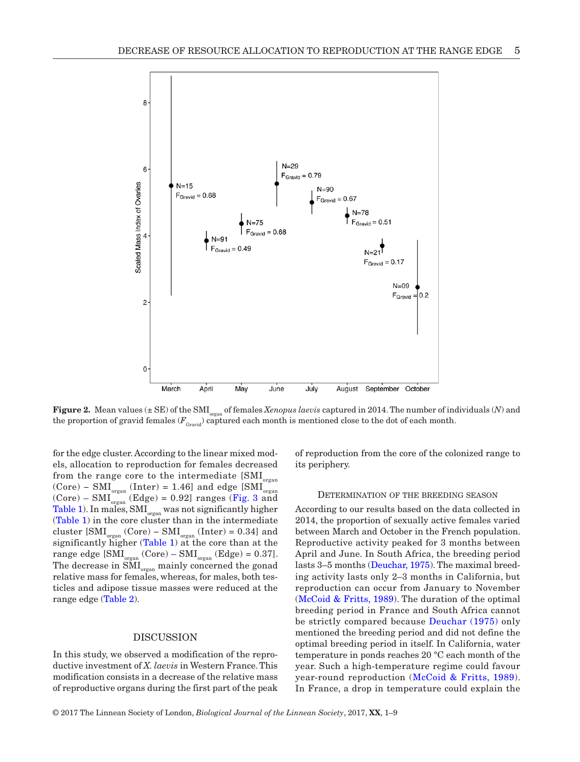

**Figure 2.** Mean values ( $\pm$  SE) of the SMI<sub>organ</sub> of females *Xenopus laevis* captured in 2014. The number of individuals (*N*) and the proportion of gravid females ( $F_{\text{Grouid}}$ ) captured each month is mentioned close to the dot of each month.

for the edge cluster. According to the linear mixed models, allocation to reproduction for females decreased from the range core to the intermediate  $[SMI_{\text{organ}}]$ (Core) –  $\mathrm{SMI}_{\mathrm{organ}}$  (Inter) = 1.46] and edge  $\mathrm{[SMI]}_{\mathrm{organ}}$  $(Core) - SMI_{organ} (Edge) = 0.92$ ] ranges ([Fig.](#page-5-0) 3 and [Table](#page-5-1) 1). In males,  $\text{SMI}_{\text{organ}}$  was not significantly higher [\(Table](#page-5-1) 1) in the core cluster than in the intermediate cluster  $\mathrm{[SMI]}_{\mathrm{organ}}$  (Core) –  $\mathrm{SMI}_{\mathrm{organ}}$  (Inter) = 0.34] and significantly higher ([Table](#page-5-1) 1) at the core than at the range edge  $[SMI_{organ} (Core) - SMI_{organ} (Edge) = 0.37]$ . The decrease in  $\widetilde{\text{SMI}}_{\text{organ}}$  mainly concerned the gonad relative mass for females, whereas, for males, both testicles and adipose tissue masses were reduced at the range edge ([Table](#page-6-0) 2).

## DISCUSSION

In this study, we observed a modification of the reproductive investment of *X. laevis* in Western France. This modification consists in a decrease of the relative mass of reproductive organs during the first part of the peak <span id="page-4-0"></span>of reproduction from the core of the colonized range to its periphery.

#### Determination of the breeding season

According to our results based on the data collected in 2014, the proportion of sexually active females varied between March and October in the French population. Reproductive activity peaked for 3 months between April and June. In South Africa, the breeding period lasts 3–5 months ([Deuchar, 1975\)](#page-7-14). The maximal breeding activity lasts only 2–3 months in California, but reproduction can occur from January to November [\(McCoid & Fritts, 1989](#page-8-17)). The duration of the optimal breeding period in France and South Africa cannot be strictly compared because [Deuchar \(1975\)](#page-7-14) only mentioned the breeding period and did not define the optimal breeding period in itself. In California, water temperature in ponds reaches 20 °C each month of the year. Such a high-temperature regime could favour year-round reproduction ([McCoid & Fritts, 1989\)](#page-8-17). In France, a drop in temperature could explain the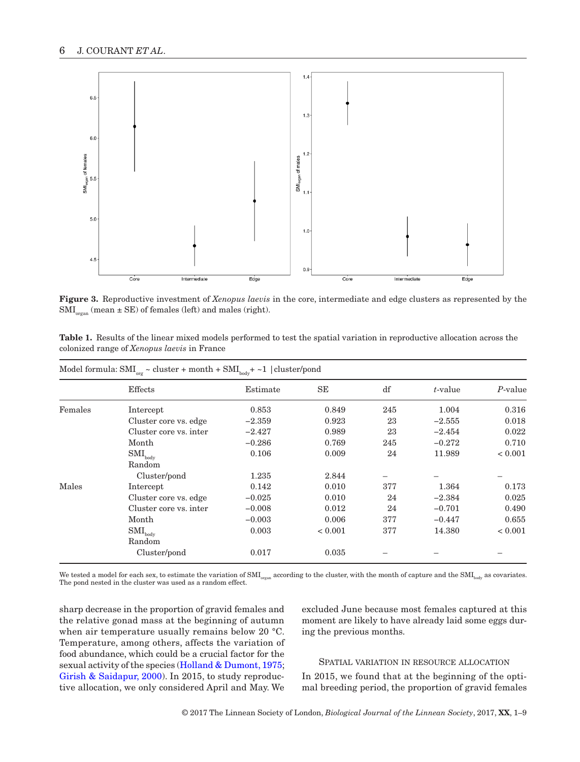

<span id="page-5-0"></span>**Figure 3.** Reproductive investment of *Xenopus laevis* in the core, intermediate and edge clusters as represented by the  $SMI_{\text{corson}}$  (mean  $\pm$  SE) of females (left) and males (right).

<span id="page-5-1"></span>

|                                             |  |  | <b>Table 1.</b> Results of the linear mixed models performed to test the spatial variation in reproductive allocation across the |  |
|---------------------------------------------|--|--|----------------------------------------------------------------------------------------------------------------------------------|--|
| colonized range of Xenopus laevis in France |  |  |                                                                                                                                  |  |

|         | Effects                      | Estimate | <b>SE</b>   | df  | $t$ -value | $P$ -value     |
|---------|------------------------------|----------|-------------|-----|------------|----------------|
| Females | Intercept                    | 0.853    | 0.849       | 245 | 1.004      | 0.316          |
|         | Cluster core vs. edge        | $-2.359$ | 0.923       | 23  | $-2.555$   | 0.018          |
|         | Cluster core vs. inter       | $-2.427$ | 0.989       | 23  | $-2.454$   | 0.022          |
|         | Month                        | $-0.286$ | 0.769       | 245 | $-0.272$   | 0.710          |
|         | $\mathbf{SMI}_\mathrm{body}$ | 0.106    | 0.009       | 24  | 11.989     | ${}< 0.001$    |
|         | Random                       |          |             |     |            |                |
|         | Cluster/pond                 | 1.235    | 2.844       |     |            |                |
| Males   | Intercept                    | 0.142    | 0.010       | 377 | 1.364      | 0.173          |
|         | Cluster core vs. edge        | $-0.025$ | 0.010       | 24  | $-2.384$   | 0.025          |
|         | Cluster core vs. inter       | $-0.008$ | 0.012       | 24  | $-0.701$   | 0.490          |
|         | Month                        | $-0.003$ | 0.006       | 377 | $-0.447$   | 0.655          |
|         | $\mathbf{SMI}_\mathrm{body}$ | 0.003    | ${}< 0.001$ | 377 | 14.380     | ${}_{< 0.001}$ |
|         | Random                       |          |             |     |            |                |
|         | Cluster/pond                 | 0.017    | 0.035       |     |            |                |

We tested a model for each sex, to estimate the variation of  $SMI_{\text{gram}}$  according to the cluster, with the month of capture and the  $SMI_{\text{body}}$  as covariates. The pond nested in the cluster was used as a random effect.

sharp decrease in the proportion of gravid females and the relative gonad mass at the beginning of autumn when air temperature usually remains below 20 °C. Temperature, among others, affects the variation of food abundance, which could be a crucial factor for the sexual activity of the species ([Holland & Dumont, 1975;](#page-7-15) [Girish & Saidapur, 2000](#page-7-13)). In 2015, to study reproductive allocation, we only considered April and May. We excluded June because most females captured at this moment are likely to have already laid some eggs during the previous months.

#### Spatial variation in resource allocation

In 2015, we found that at the beginning of the optimal breeding period, the proportion of gravid females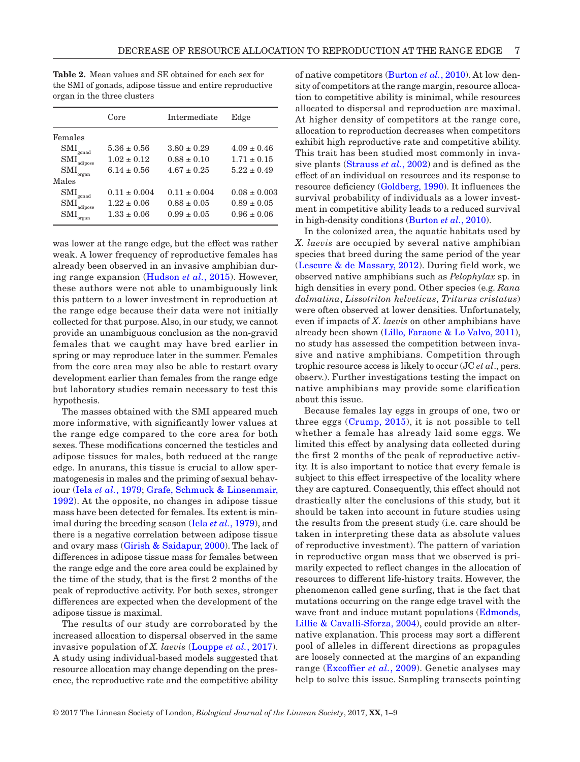<span id="page-6-0"></span>

| <b>Table 2.</b> Mean values and SE obtained for each sex for |
|--------------------------------------------------------------|
| the SMI of gonads, adipose tissue and entire reproductive    |
| organ in the three clusters                                  |

|                                 | Core             | Intermediate     | Edge             |
|---------------------------------|------------------|------------------|------------------|
| Females                         |                  |                  |                  |
| $\mathbf{SMI}_{\mathrm{gonad}}$ | $5.36 \pm 0.56$  | $3.80 \pm 0.29$  | $4.09 \pm 0.46$  |
| $\mathbf{SMI}_\mathrm{adipose}$ | $1.02 \pm 0.12$  | $0.88 \pm 0.10$  | $1.71 \pm 0.15$  |
| $\mathbf{SMI}_\mathrm{organ}$   | $6.14 \pm 0.56$  | $4.67 \pm 0.25$  | $5.22 \pm 0.49$  |
| Males                           |                  |                  |                  |
| SMI<br>gonad                    | $0.11 \pm 0.004$ | $0.11 \pm 0.004$ | $0.08 \pm 0.003$ |
| $\mathbf{SMI}_\mathrm{adipose}$ | $1.22 \pm 0.06$  | $0.88 \pm 0.05$  | $0.89 \pm 0.05$  |
| <b>SMI</b>                      | $1.33 \pm 0.06$  | $0.99 \pm 0.05$  | $0.96 \pm 0.06$  |

was lower at the range edge, but the effect was rather weak. A lower frequency of reproductive females has already been observed in an invasive amphibian during range expansion [\(Hudson](#page-7-16) *et al.*, 2015). However, these authors were not able to unambiguously link this pattern to a lower investment in reproduction at the range edge because their data were not initially collected for that purpose. Also, in our study, we cannot provide an unambiguous conclusion as the non-gravid females that we caught may have bred earlier in spring or may reproduce later in the summer. Females from the core area may also be able to restart ovary development earlier than females from the range edge but laboratory studies remain necessary to test this hypothesis.

The masses obtained with the SMI appeared much more informative, with significantly lower values at the range edge compared to the core area for both sexes. These modifications concerned the testicles and adipose tissues for males, both reduced at the range edge. In anurans, this tissue is crucial to allow spermatogenesis in males and the priming of sexual behaviour (Iela *et al.*[, 1979;](#page-7-17) [Grafe, Schmuck & Linsenmair,](#page-7-18) [1992\)](#page-7-18). At the opposite, no changes in adipose tissue mass have been detected for females. Its extent is minimal during the breeding season (Iela *et al.*[, 1979](#page-7-17)), and there is a negative correlation between adipose tissue and ovary mass [\(Girish & Saidapur, 2000\)](#page-7-13). The lack of differences in adipose tissue mass for females between the range edge and the core area could be explained by the time of the study, that is the first 2 months of the peak of reproductive activity. For both sexes, stronger differences are expected when the development of the adipose tissue is maximal.

The results of our study are corroborated by the increased allocation to dispersal observed in the same invasive population of *X. laevis* ([Louppe](#page-8-15) *et al.*, 2017). A study using individual-based models suggested that resource allocation may change depending on the presence, the reproductive rate and the competitive ability of native competitors ([Burton](#page-7-4) *et al.*, 2010). At low density of competitors at the range margin, resource allocation to competitive ability is minimal, while resources allocated to dispersal and reproduction are maximal. At higher density of competitors at the range core, allocation to reproduction decreases when competitors exhibit high reproductive rate and competitive ability. This trait has been studied most commonly in invasive plants ([Strauss](#page-8-26) *et al.*, 2002) and is defined as the effect of an individual on resources and its response to resource deficiency ([Goldberg, 1990](#page-7-19)). It influences the survival probability of individuals as a lower investment in competitive ability leads to a reduced survival in high-density conditions ([Burton](#page-7-4) *et al.*, 2010).

In the colonized area, the aquatic habitats used by *X. laevis* are occupied by several native amphibian species that breed during the same period of the year [\(Lescure & de Massary, 2012](#page-8-27)). During field work, we observed native amphibians such as *Pelophylax* sp. in high densities in every pond. Other species (e.g. *Rana dalmatina*, *Lissotriton helveticus*, *Triturus cristatus*) were often observed at lower densities. Unfortunately, even if impacts of *X. laevis* on other amphibians have already been shown [\(Lillo, Faraone & Lo Valvo, 2011\)](#page-8-28), no study has assessed the competition between invasive and native amphibians. Competition through trophic resource access is likely to occur (JC *et al*., pers. observ.). Further investigations testing the impact on native amphibians may provide some clarification about this issue.

Because females lay eggs in groups of one, two or three eggs ([Crump, 2015](#page-7-20)), it is not possible to tell whether a female has already laid some eggs. We limited this effect by analysing data collected during the first 2 months of the peak of reproductive activity. It is also important to notice that every female is subject to this effect irrespective of the locality where they are captured. Consequently, this effect should not drastically alter the conclusions of this study, but it should be taken into account in future studies using the results from the present study (i.e. care should be taken in interpreting these data as absolute values of reproductive investment). The pattern of variation in reproductive organ mass that we observed is primarily expected to reflect changes in the allocation of resources to different life-history traits. However, the phenomenon called gene surfing, that is the fact that mutations occurring on the range edge travel with the wave front and induce mutant populations [\(Edmonds,](#page-7-21) [Lillie & Cavalli-Sforza, 2004\)](#page-7-21), could provide an alternative explanation. This process may sort a different pool of alleles in different directions as propagules are loosely connected at the margins of an expanding range ([Excoffier](#page-7-22) *et al.*, 2009). Genetic analyses may help to solve this issue. Sampling transects pointing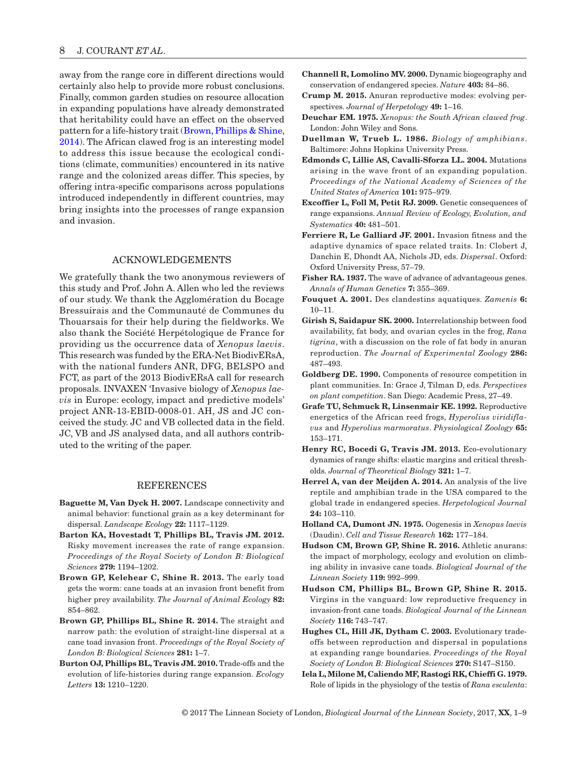away from the range core in different directions would certainly also help to provide more robust conclusions. Finally, common garden studies on resource allocation in expanding populations have already demonstrated that heritability could have an effect on the observed pattern for a life-history trait ([Brown, Phillips & Shine,](#page-7-23) [2014\)](#page-7-23). The African clawed frog is an interesting model to address this issue because the ecological conditions (climate, communities) encountered in its native range and the colonized areas differ. This species, by offering intra-specific comparisons across populations introduced independently in different countries, may bring insights into the processes of range expansion and invasion.

# ACKNOWLEDGEMENTS

We gratefully thank the two anonymous reviewers of this study and Prof. John A. Allen who led the reviews of our study. We thank the Agglomération du Bocage Bressuirais and the Communauté de Communes du Thouarsais for their help during the fieldworks. We also thank the Société Herpétologique de France for providing us the occurrence data of *Xenopus laevis*. This research was funded by the ERA-Net BiodivERsA, with the national funders ANR, DFG, BELSPO and FCT, as part of the 2013 BiodivERsA call for research proposals. INVAXEN 'Invasive biology of *Xenopus laevis* in Europe: ecology, impact and predictive models' project ANR-13-EBID-0008-01. AH, JS and JC conceived the study. JC and VB collected data in the field. JC, VB and JS analysed data, and all authors contributed to the writing of the paper.

# REFERENCES

- <span id="page-7-10"></span>**Baguette M, Van Dyck H. 2007.** Landscape connectivity and animal behavior: functional grain as a key determinant for dispersal. *Landscape Ecology* **22:** 1117–1129.
- <span id="page-7-6"></span>**Barton KA, Hovestadt T, Phillips BL, Travis JM. 2012.** Risky movement increases the rate of range expansion. *Proceedings of the Royal Society of London B: Biological Sciences* **279:** 1194–1202.
- <span id="page-7-2"></span>**Brown GP, Kelehear C, Shine R. 2013.** The early toad gets the worm: cane toads at an invasion front benefit from higher prey availability. *The Journal of Animal Ecology* **82:**  854–862.
- <span id="page-7-23"></span>**Brown GP, Phillips BL, Shine R. 2014.** The straight and narrow path: the evolution of straight-line dispersal at a cane toad invasion front. *Proceedings of the Royal Society of London B: Biological Sciences* **281:** 1–7.
- <span id="page-7-4"></span>**Burton OJ, Phillips BL, Travis JM. 2010.** Trade-offs and the evolution of life-histories during range expansion. *Ecology Letters* **13:** 1210–1220.
- <span id="page-7-0"></span>**Channell R, Lomolino MV. 2000.** Dynamic biogeography and conservation of endangered species. *Nature* **403:** 84–86.
- <span id="page-7-20"></span>**Crump M. 2015.** Anuran reproductive modes: evolving perspectives. *Journal of Herpetology* **49:** 1–16.
- <span id="page-7-14"></span>**Deuchar EM. 1975.** *Xenopus: the South African clawed frog*. London: John Wiley and Sons.
- <span id="page-7-12"></span>**Duellman W, Trueb L. 1986.** *Biology of amphibians*. Baltimore: Johns Hopkins University Press.
- <span id="page-7-21"></span>**Edmonds C, Lillie AS, Cavalli-Sforza LL. 2004.** Mutations arising in the wave front of an expanding population. *Proceedings of the National Academy of Sciences of the United States of America* **101:** 975–979.
- <span id="page-7-22"></span>**Excoffier L, Foll M, Petit RJ. 2009.** Genetic consequences of range expansions. *Annual Review of Ecology, Evolution, and Systematics* **40:** 481–501.
- <span id="page-7-9"></span>**Ferriere R, Le Galliard JF. 2001.** Invasion fitness and the adaptive dynamics of space related traits. In: Clobert J, Danchin E, Dhondt AA, Nichols JD, eds. *Dispersal*. Oxford: Oxford University Press, 57–79.
- <span id="page-7-3"></span>**Fisher RA. 1937.** The wave of advance of advantageous genes. *Annals of Human Genetics* **7:** 355–369.
- <span id="page-7-11"></span>**Fouquet A. 2001.** Des clandestins aquatiques. *Zamenis* **6:**  10–11.
- <span id="page-7-13"></span>**Girish S, Saidapur SK. 2000.** Interrelationship between food availability, fat body, and ovarian cycles in the frog, *Rana tigrina*, with a discussion on the role of fat body in anuran reproduction. *The Journal of Experimental Zoology* **286:**  487–493.
- <span id="page-7-19"></span>**Goldberg DE. 1990.** Components of resource competition in plant communities. In: Grace J, Tilman D, eds. *Perspectives on plant competition*. San Diego: Academic Press, 27–49.
- <span id="page-7-18"></span>**Grafe TU, Schmuck R, Linsenmair KE. 1992.** Reproductive energetics of the African reed frogs, *Hyperolius viridiflavus* and *Hyperolius marmoratus*. *Physiological Zoology* **65:**  153–171.
- <span id="page-7-7"></span>**Henry RC, Bocedi G, Travis JM. 2013.** Eco-evolutionary dynamics of range shifts: elastic margins and critical thresholds. *Journal of Theoretical Biology* **321:** 1–7.
- <span id="page-7-1"></span>**Herrel A, van der Meijden A. 2014.** An analysis of the live reptile and amphibian trade in the USA compared to the global trade in endangered species. *Herpetological Journal* **24:** 103–110.
- <span id="page-7-15"></span>**Holland CA, Dumont JN. 1975.** Oogenesis in *Xenopus laevis* (Daudin). *Cell and Tissue Research* **162:** 177–184.
- <span id="page-7-8"></span>**Hudson CM, Brown GP, Shine R. 2016.** Athletic anurans: the impact of morphology, ecology and evolution on climbing ability in invasive cane toads. *Biological Journal of the Linnean Society* **119:** 992–999.
- <span id="page-7-16"></span>**Hudson CM, Phillips BL, Brown GP, Shine R. 2015.** Virgins in the vanguard: low reproductive frequency in invasion-front cane toads. *Biological Journal of the Linnean Society* **116:** 743–747.
- <span id="page-7-5"></span>**Hughes CL, Hill JK, Dytham C. 2003.** Evolutionary tradeoffs between reproduction and dispersal in populations at expanding range boundaries. *Proceedings of the Royal Society of London B: Biological Sciences* **270:** S147–S150.
- <span id="page-7-17"></span>**Iela L, Milone M, Caliendo MF, Rastogi RK, Chieffi G. 1979.** Role of lipids in the physiology of the testis of *Rana esculenta*: